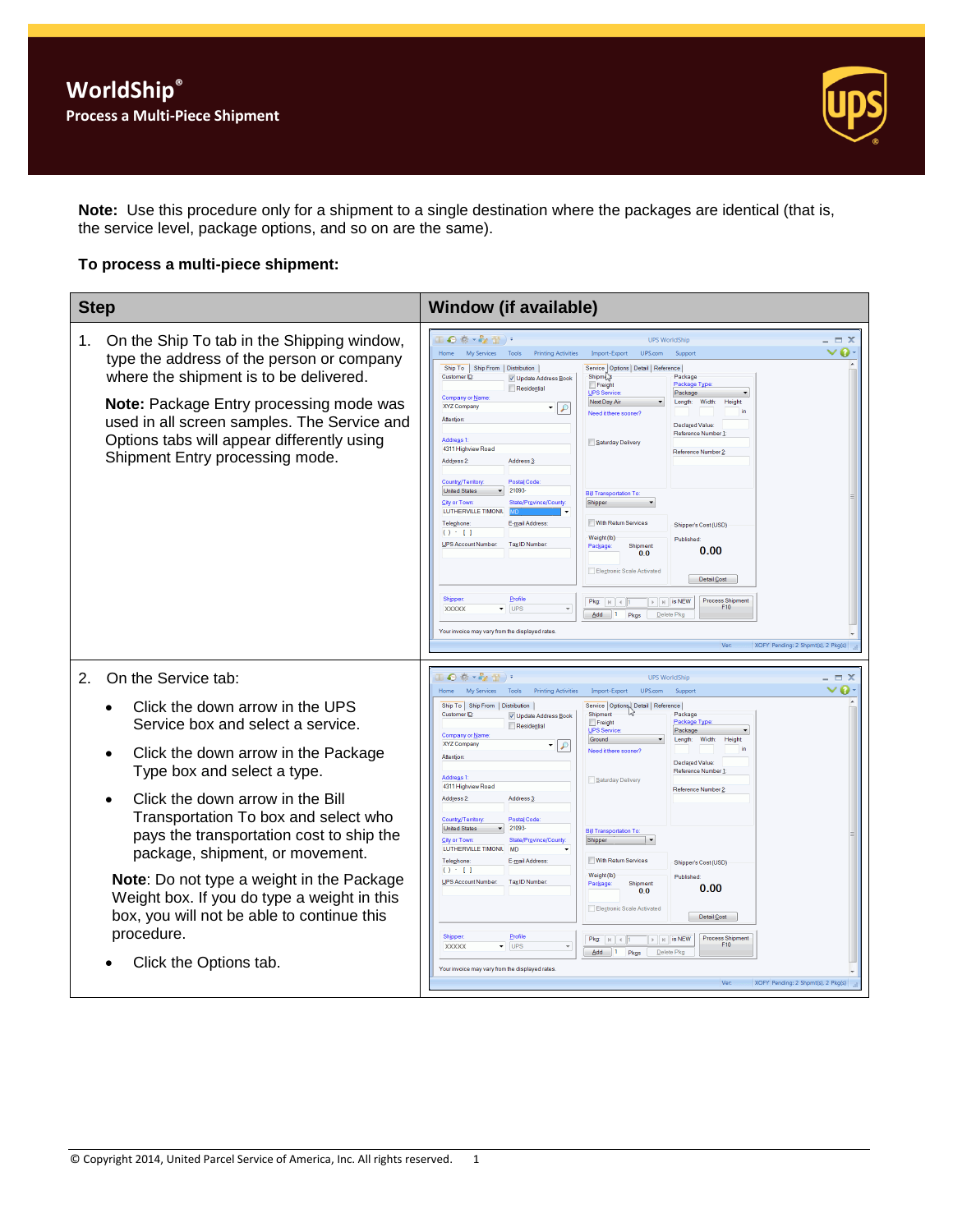

**Note:** Use this procedure only for a shipment to a single destination where the packages are identical (that is, the service level, package options, and so on are the same).

## **To process a multi-piece shipment:**

| <b>Step</b>                                                                                                                                                                                                                                                                                                        | <b>Window (if available)</b>                                                                                                                                                                                                                                                                                                                                                                                                                                                                                                                                                                                                                                                                                                                                                                                                                                                                                                                                                                                                                                                                                                                                                                                                                                                                                                                                                                                                      |                                     |
|--------------------------------------------------------------------------------------------------------------------------------------------------------------------------------------------------------------------------------------------------------------------------------------------------------------------|-----------------------------------------------------------------------------------------------------------------------------------------------------------------------------------------------------------------------------------------------------------------------------------------------------------------------------------------------------------------------------------------------------------------------------------------------------------------------------------------------------------------------------------------------------------------------------------------------------------------------------------------------------------------------------------------------------------------------------------------------------------------------------------------------------------------------------------------------------------------------------------------------------------------------------------------------------------------------------------------------------------------------------------------------------------------------------------------------------------------------------------------------------------------------------------------------------------------------------------------------------------------------------------------------------------------------------------------------------------------------------------------------------------------------------------|-------------------------------------|
| On the Ship To tab in the Shipping window,<br>1.<br>type the address of the person or company<br>where the shipment is to be delivered.<br>Note: Package Entry processing mode was<br>used in all screen samples. The Service and<br>Options tabs will appear differently using<br>Shipment Entry processing mode. | ●参→を置<br><b>UPS WorldShip</b><br><b>My Services</b><br><b>Printing Activities</b><br>Import-Export<br>UPS.com<br>Suppor<br>Tools<br>Ship To Ship From Distribution<br>Service   Options   Detail   Reference  <br>Customer ID<br>Shipme <sub>x</sub><br>Package<br>V Update Address Book<br>Package Type<br>Freight<br>Residential<br>UPS Service<br>Package<br>Company or Name<br>Next Day Air<br>Length:<br><b>Width:</b><br>Height<br><b>XYZ Company</b><br>₽<br>Need it there sooner?<br>Attention<br>Declared Value<br>Reference Number<br><b>Address1</b><br>Saturday Delivery<br>4311 Highview Road<br>Reference Number <sub>2</sub><br>Address 2:<br>Address <sub>3</sub><br>Country/Territory<br><b>Postal Code</b><br>21093<br><b>United States</b><br><b>Bill Transportation To</b><br>State/Province/County<br><b>City or Town</b><br>Shipper<br>LUTHERVILLE TIMONIL<br>With Return Services<br>E-mail Address:<br>Telephone<br>Shipper's Cost (USD)<br>$() - 1$<br>Weight (lb)<br>Published<br><b>UPS Account Number</b><br>Tax ID Number<br>Package:<br>Shipment<br>0.00<br>0 <sub>0</sub><br>Electronic Scale Activated<br>Detail Cost<br>Profile<br>Shipper<br><b>Process Shipment</b><br>$\triangleright$   $\parallel$   is NEW<br>Pkg:<br>$ N $ $\leq$ 1<br>F10<br>$\blacktriangledown$ UPS<br><b>XXXXX</b><br>$\mathbf{v}$<br>$Add$ 1<br>Pkgs<br>Delete Pkc<br>Your invoice may vary from the displayed rates | $\Box$ $\times$<br>$\vee$ Q $\cdot$ |
| On the Service tab:<br>2.<br>Click the down arrow in the UPS<br>Service box and select a service.<br>Click the down arrow in the Package                                                                                                                                                                           | $\Theta$ $\Phi$ $\sim$ $\Theta$ $\mathbb{R}$ )<br><b>UPS WorldShip</b><br>My Services<br><b>Printing Activities</b><br>Import-Export<br>UPS.com<br>Suppor<br>Tools<br>Ship To   Ship From   Distribution  <br>Service   Options   Detail   Reference  <br>Customer ID:<br>Shipment<br>Package<br>V Update Address Book<br>Freight<br>Package Type<br>Residential<br><b>UPS Service</b><br>Package<br>Company or Name<br>Ground<br>Length:<br>Width:<br>Height<br>XYZ Company<br>9 ا •<br>Need it there sooner?<br>Attention                                                                                                                                                                                                                                                                                                                                                                                                                                                                                                                                                                                                                                                                                                                                                                                                                                                                                                       | $\Box$ $\times$<br>$\bullet$        |
| Type box and select a type.<br>Click the down arrow in the Bill<br>Transportation To box and select who<br>pays the transportation cost to ship the<br>package, shipment, or movement.                                                                                                                             | Declared Value:<br>Reference Number<br><b>Address 1</b><br>Saturday Delivery<br>4311 Highview Road<br>Reference Number 2<br>Address <sub>2</sub><br>Address 3<br>Country/Territory<br><b>Postal Code</b><br><b>United States</b><br>21093<br><b>Bill Transportation To</b><br><b>City or Town:</b><br>State/Province/County<br>Shipper<br>LUTHERVILLE TIMONIL<br>MD<br>With Return Services<br>Telephone<br>E-mail Address:<br>Shipper's Cost (USD)                                                                                                                                                                                                                                                                                                                                                                                                                                                                                                                                                                                                                                                                                                                                                                                                                                                                                                                                                                               |                                     |
| <b>Note:</b> Do not type a weight in the Package<br>Weight box. If you do type a weight in this<br>box, you will not be able to continue this<br>procedure.<br>Click the Options tab.                                                                                                                              | $() - []$<br>Weight (lb)<br>Published<br>UPS Account Number:<br>Tax ID Number<br>Shipment<br>Package<br>0.00<br>0 <sub>0</sub><br>Electronic Scale Activated<br>Detail Cost<br><b>Shipper:</b><br>Profile<br><b>Process Shipment</b><br>Pkg: $\vert A \vert \vert \vert A \vert$ 1<br>$\triangleright$ $\parallel$ $\uparrow$ $\parallel$ is NEW<br>F10<br>$\overline{\phantom{a}}$ UPS<br><b>XXXXX</b><br>$Add \t1$<br>Pkgs<br>Delete Pkc<br>Your invoice may vary from the displayed rates<br>XOFY Pending: 2 Shpmt(s), 2 Pkg(s)                                                                                                                                                                                                                                                                                                                                                                                                                                                                                                                                                                                                                                                                                                                                                                                                                                                                                                |                                     |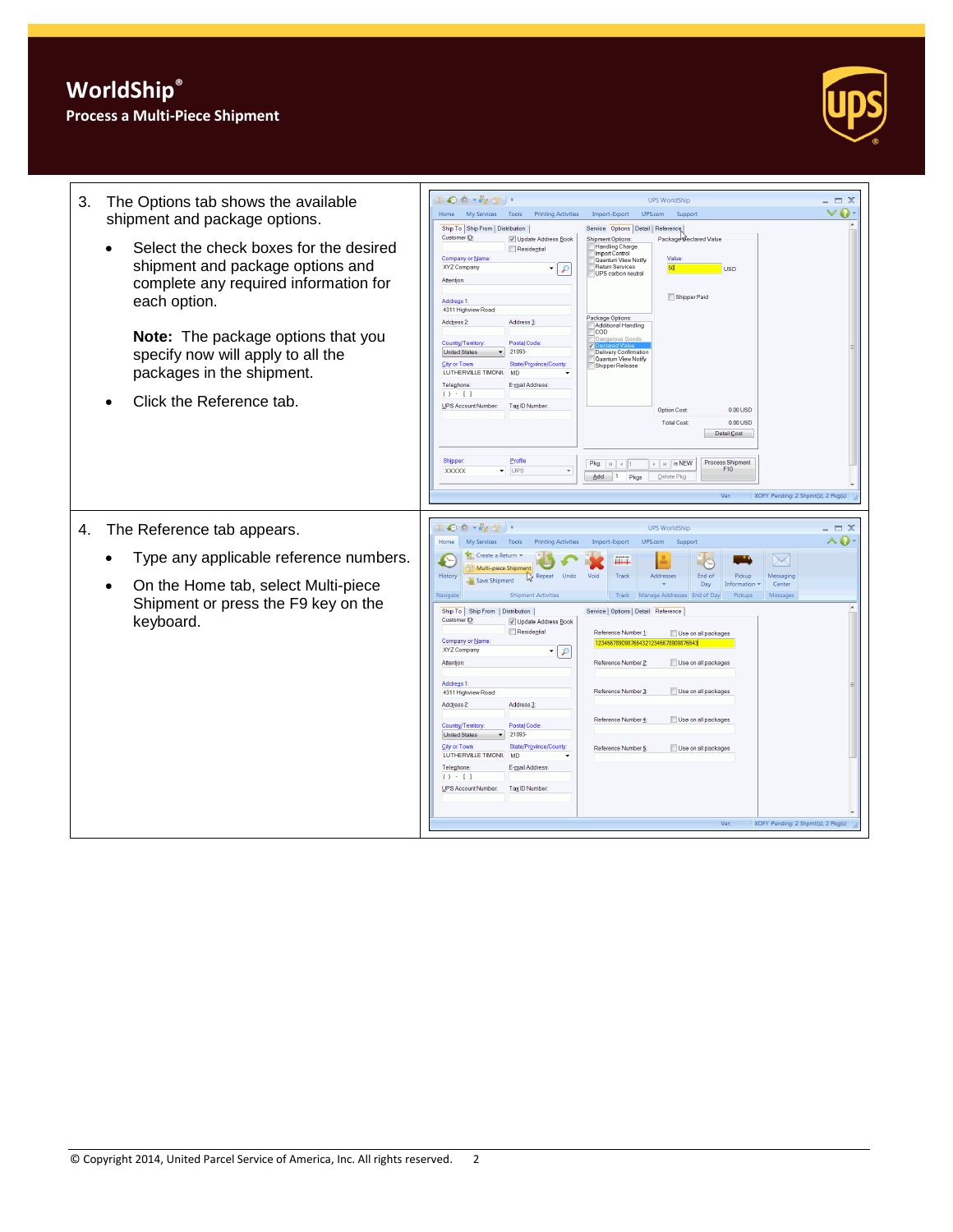## **Process a Multi-Piece Shipment**



| The Options tab shows the available<br>3.<br>shipment and package options.<br>Select the check boxes for the desired<br>shipment and package options and<br>complete any required information for<br>each option.<br>Note: The package options that you<br>specify now will apply to all the<br>packages in the shipment.<br>Click the Reference tab. | Ⅱ◎※・☆蛩)・<br><b>UPS WorldShip</b><br>- = x<br>o<br>My Services<br>Tools<br><b>Printing Activities</b><br>UPS.com<br>Home<br>Import-Export<br>Support<br>Ship To Ship From Distribution<br>Service Options Detail   Reference<br>Customer ID:<br>V Update Address Book<br><b>Shipment Options:</b><br>Package Seclared Value<br><b>Handling Charge</b><br>Residential<br><b>Import Control</b><br>Company or Name<br>Value<br>Quantum View Notify<br>XYZ Company<br><b>Return Services</b><br>50<br>۰<br>$\mathcal{L}$<br><b>USD</b><br>UPS carbon neutral<br>Attention<br>Shipper Paid<br>Address <sub>1</sub> :<br>4311 Highview Road<br>Package Options:<br>Address 3:<br>Address 2:<br>Additional Handling<br><b>COD</b><br>uis Good<br>Country/Territory<br>Postal Code:<br>21093<br><b>United States</b><br><b>Delivery Confirmation</b><br>Quantum View Notify<br>City or Town:<br>State/Province/Cou<br>Shipper Release<br>LUTHERVILLE TIMONIL<br>MD<br>Telephone:<br>E-mail Address<br>$() - 1$<br><b>UPS Account Number:</b><br>Tax ID Number<br><b>Option Cost</b><br>0.00 USD<br><b>Total Cost</b><br>0.00 USD<br>Detail Cost<br>Profile<br>Shipper<br>Process Shipment<br>$\triangleright$   $\parallel$   is NEW<br>F10<br>$\overline{\phantom{a}}$ UPS<br><b>XXXXX</b><br>$Add \t1$<br>Pkgs<br>Delete Pkg<br>XOFY Pending: 2 Shpmt(s), 2 Pkg(s)<br>Ver                              |
|-------------------------------------------------------------------------------------------------------------------------------------------------------------------------------------------------------------------------------------------------------------------------------------------------------------------------------------------------------|--------------------------------------------------------------------------------------------------------------------------------------------------------------------------------------------------------------------------------------------------------------------------------------------------------------------------------------------------------------------------------------------------------------------------------------------------------------------------------------------------------------------------------------------------------------------------------------------------------------------------------------------------------------------------------------------------------------------------------------------------------------------------------------------------------------------------------------------------------------------------------------------------------------------------------------------------------------------------------------------------------------------------------------------------------------------------------------------------------------------------------------------------------------------------------------------------------------------------------------------------------------------------------------------------------------------------------------------------------------------------------------------------|
| The Reference tab appears.<br>4.<br>Type any applicable reference numbers.<br>On the Home tab, select Multi-piece<br>Shipment or press the F9 key on the<br>keyboard.                                                                                                                                                                                 | Ⅱ●※・☆☆)・<br><b>UPS WorldShip</b><br>- <b>= x</b><br>^0<br>Home<br>My Services Tools<br><b>Printing Activities</b><br>Import-Export<br>UPS.com<br>Support<br>Create a Return<br>E<br>$\searrow$<br>Шĭ<br>Multi-piece Shipment<br>History<br>Void<br>Track<br>Addresses<br>Repeat<br>Undo<br>End of<br>Messagino<br>12<br>Pickur<br>Save Shinment<br>Day<br>Information<br>Center<br>Navigate<br><b>Shipment Activities</b><br>Track<br>Manage Addresses End of Day<br>Pickups<br>Messages<br>Ship To   Ship From   Distribution  <br>Service   Options   Detail Reference<br>Customer ID<br>V Update Address Book<br>Residential<br>Reference Number 1:<br>Use on all packages<br>Company or Name<br>1234567890987654321234<br><b>SARRRANE</b><br>XYZ Company<br>$\bullet$ $\circ$<br>Reference Number 2:<br>Use on all packages<br><b>Attention</b><br>Address 1:<br>Reference Number 3<br>Use on all packages<br>4311 Highview Road<br>Address 2:<br>Address <sub>3</sub><br>Reference Number 4<br>Use on all packages<br>Country/Territory<br><b>Postal Code</b><br>21093<br><b>United States</b><br>$\blacksquare$<br><b>City or Town</b><br>State/Province/County<br>Reference Number 5:<br>Use on all packages<br>LUTHERVILLE TIMONIL<br><b>MD</b><br>Telephone<br>E-mail Address<br>$() - 1$<br><b>UPS Account Number:</b><br>Tax ID Number:<br>XOFY Pending: 2 Shpmt(s), 2 Pkg(s)<br>Ver: |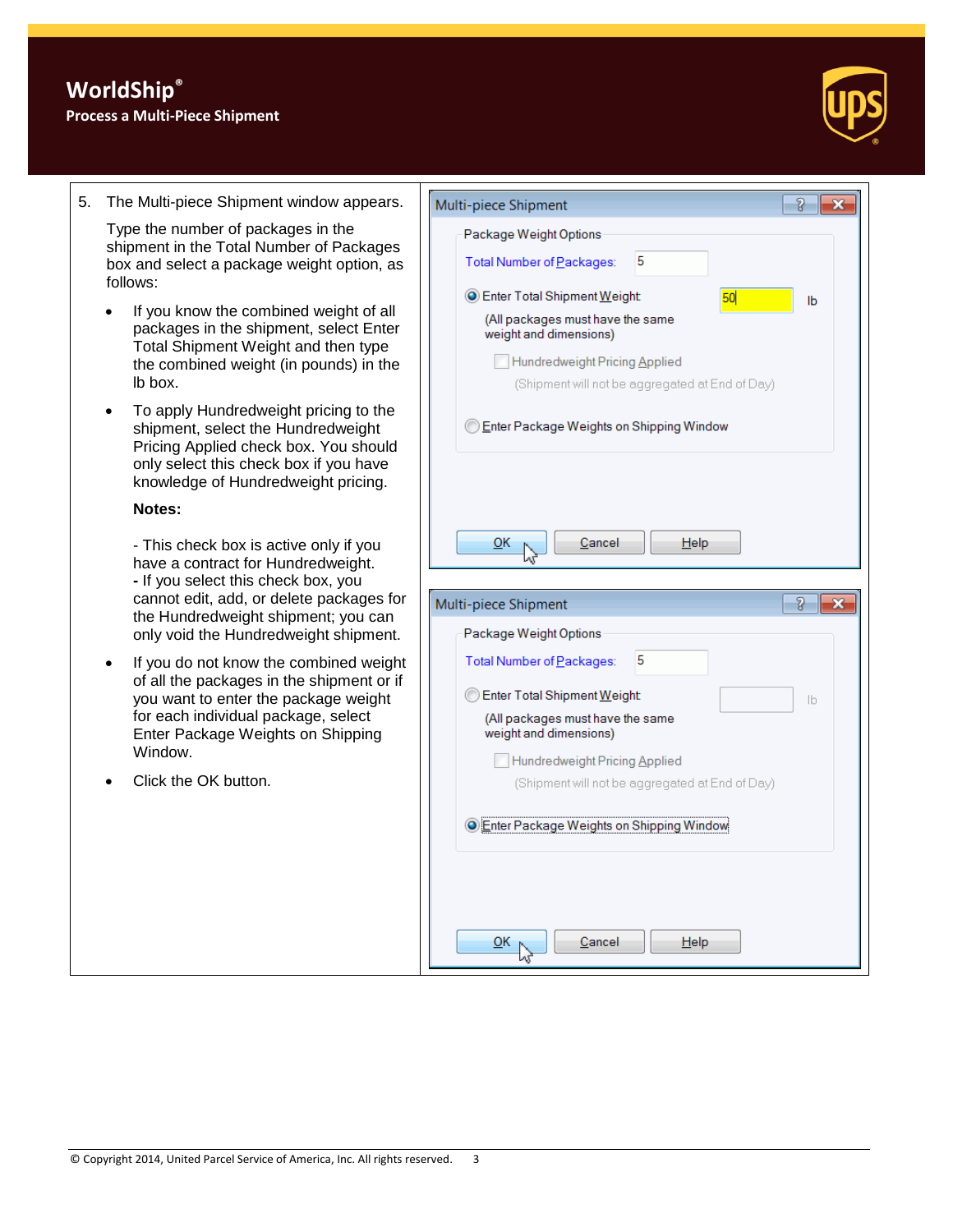

5. The Multi-piece Shipment window appears.

Type the number of packages in the shipment in the Total Number of Packages box and select a package weight option, as follows:

- If you know the combined weight of all packages in the shipment, select Enter Total Shipment Weight and then type the combined weight (in pounds) in the lb box.
- To apply Hundredweight pricing to the shipment, select the Hundredweight Pricing Applied check box. You should only select this check box if you have knowledge of Hundredweight pricing.

## **Notes:**

- This check box is active only if you have a contract for Hundredweight. **-** If you select this check box, you cannot edit, add, or delete packages for the Hundredweight shipment; you can only void the Hundredweight shipment.

- If you do not know the combined weight of all the packages in the shipment or if you want to enter the package weight for each individual package, select Enter Package Weights on Shipping Window.
- Click the OK button.

| g<br>Multi-piece Shipment<br>x                             |  |  |  |  |
|------------------------------------------------------------|--|--|--|--|
| Package Weight Options                                     |  |  |  |  |
| 5<br>Total Number of Packages:                             |  |  |  |  |
| Enter Total Shipment Weight:<br>50<br>lb                   |  |  |  |  |
| (All packages must have the same<br>weight and dimensions) |  |  |  |  |
| Hundredweight Pricing Applied                              |  |  |  |  |
| (Shipment will not be aggregated at End of Day)            |  |  |  |  |
| Enter Package Weights on Shipping Window @                 |  |  |  |  |
| $\overline{\mathsf{O}}$ K<br>Cancel<br>$He$ lp             |  |  |  |  |
| ð<br>Multi-piece Shipment<br>x                             |  |  |  |  |
| Package Weight Options                                     |  |  |  |  |
| 5<br>Total Number of Packages:                             |  |  |  |  |
| Enter Total Shipment Weight:<br>lb.                        |  |  |  |  |
| (All packages must have the same<br>weight and dimensions) |  |  |  |  |
| Hundredweight Pricing Applied                              |  |  |  |  |
| (Shipment will not be aggregated at End of Day)            |  |  |  |  |
| <b>O Enter Package Weights on Shipping Window</b>          |  |  |  |  |
| <u>ок</u><br>Cancel<br>$He$ <sub>lp</sub>                  |  |  |  |  |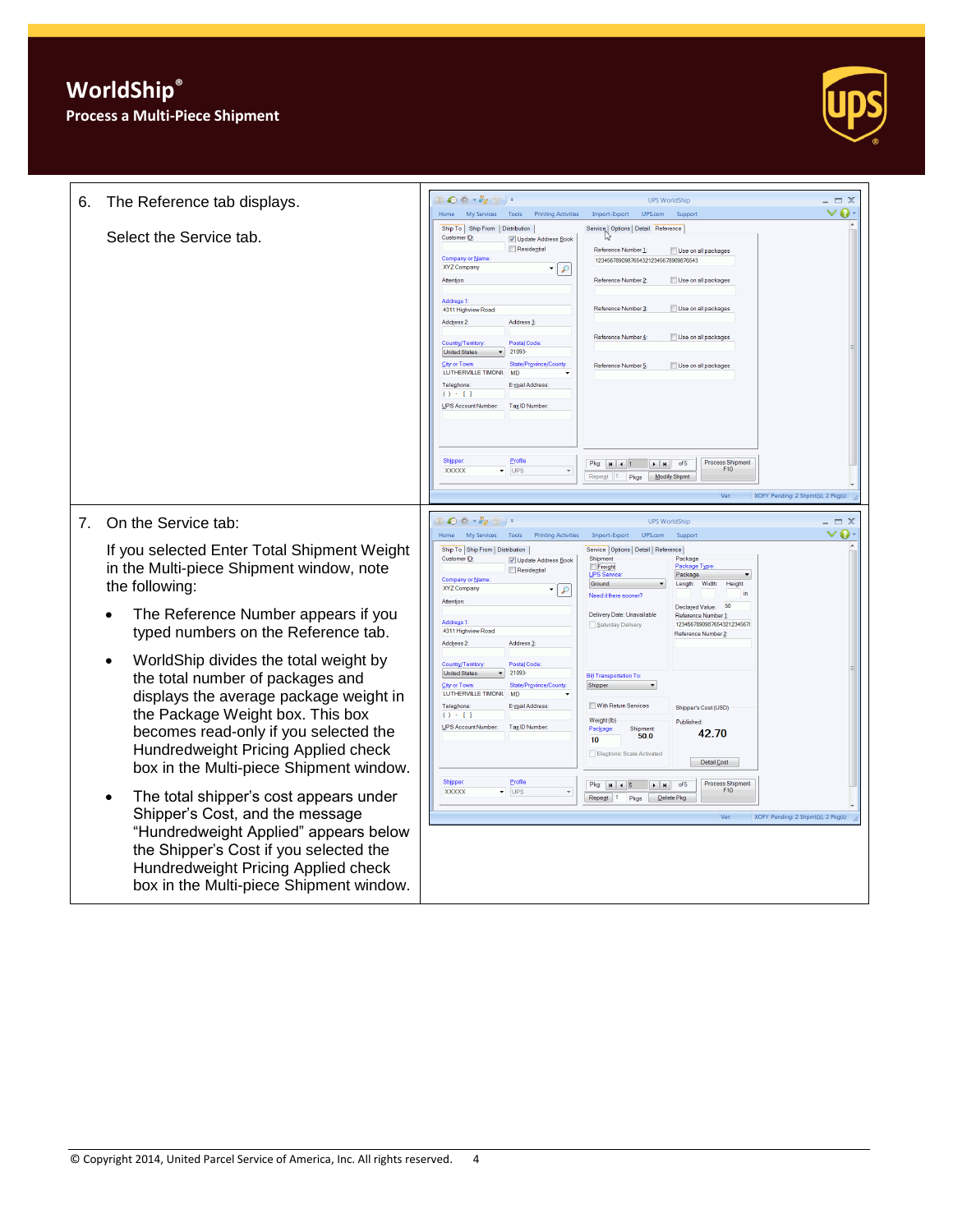**WorldShip® Process a Multi-Piece Shipment**



| 6. | The Reference tab displays.                                                                                                                                                                                                                                                                                               | $\mathbb{T} \bigodot \oplus \cdots \oplus \oplus \mathbb{T}$<br><b>UPS WorldShip</b>                                                                                                                                                                                                                                                                                                                                                                                                                                                                                                                                                                                                                                                                                                                                                                                                                      | $\Box$ $\times$ |
|----|---------------------------------------------------------------------------------------------------------------------------------------------------------------------------------------------------------------------------------------------------------------------------------------------------------------------------|-----------------------------------------------------------------------------------------------------------------------------------------------------------------------------------------------------------------------------------------------------------------------------------------------------------------------------------------------------------------------------------------------------------------------------------------------------------------------------------------------------------------------------------------------------------------------------------------------------------------------------------------------------------------------------------------------------------------------------------------------------------------------------------------------------------------------------------------------------------------------------------------------------------|-----------------|
|    | Select the Service tab.                                                                                                                                                                                                                                                                                                   | My Services<br>Tools<br><b>Printing Activities</b><br>Import-Export<br>UPS.com<br>Support<br>Home<br>Ship To Ship From   Distribution  <br>Service Options Detail Reference<br><b>Customer ID</b><br>V Update Address Book<br>Residential<br>Reference Number 1:<br>Use on all packages<br><b>Company or Name</b><br>12345678909876543212345678909876543<br><b>XYZ Company</b><br>۹   •<br>Attention<br>Reference Number 2:<br>Use on all packages<br><b>Address 1</b><br>Reference Number 3<br>Use on all packages<br>4311 Highview Road<br>Address 2:<br>Address 3<br>Reference Number 4<br>Use on all packages<br>Country/Territory<br><b>Postal Code</b><br>21093<br><b>United States</b><br><b>City or Town</b><br>State/Province/County<br>Reference Number 5:<br>Use on all packages<br>LUTHERVILLE TIMONIL MD<br>Telephone<br>E-mail Address<br>$() - 11$<br>UPS Account Number:<br>Tax ID Number | ი.              |
|    |                                                                                                                                                                                                                                                                                                                           | Profile<br>Shipper<br><b>Process Shipment</b><br>of 5<br>Pkg:   H   4   1<br>$\rightarrow$ H<br>F10<br><b>XXXXX</b><br>$\blacktriangledown$ UPS<br>Repeat 1 Pkgs Modify Shpmt<br>Ver<br>XOFY Pending: 2 Shpmt(s), 2 Pkg(s)                                                                                                                                                                                                                                                                                                                                                                                                                                                                                                                                                                                                                                                                                |                 |
| 7. | On the Service tab:                                                                                                                                                                                                                                                                                                       | Ⅲ◎※・☆☆)・<br><b>UPS WorldShip</b>                                                                                                                                                                                                                                                                                                                                                                                                                                                                                                                                                                                                                                                                                                                                                                                                                                                                          | - m X           |
|    | If you selected Enter Total Shipment Weight<br>in the Multi-piece Shipment window, note<br>the following:<br>The Reference Number appears if you                                                                                                                                                                          | My Services<br>Tools<br><b>Printing Activities</b><br>Import-Export<br>UPS.com<br>Home<br>Suppor<br>Ship To Ship From   Distribution  <br>Service   Options   Detail   Reference  <br>Shipment<br><b>Customer ID</b><br>Package<br>V Update Address Book<br>Freight<br>Package Type<br>Residential<br><b>UPS Service</b><br>Package<br>Company or Name<br>Ground<br>Width:<br>Height<br>Length:<br><b>XYZ Company</b><br>9 -<br>Need it there sooner?<br>Attention<br>50<br>Declared Value:<br>Delivery Date: Unavailable<br>Reference Number 1<br><b>Address 1</b><br>12345678909876543212345678<br>Saturday Delivery                                                                                                                                                                                                                                                                                    | o               |
|    | typed numbers on the Reference tab.<br>WorldShip divides the total weight by<br>the total number of packages and<br>displays the average package weight in<br>the Package Weight box. This box<br>becomes read-only if you selected the<br>Hundredweight Pricing Applied check<br>box in the Multi-piece Shipment window. | 4311 Highview Road<br>Reference Number 2:<br>Address <sub>2</sub><br>Address 3<br>Postal Code<br>Country/Territory<br><b>United States</b><br>21093<br><b>Bill Transportation To:</b><br>City or Town<br>State/Province/County<br>Shipper<br>LUTHERVILLE TIMONIL<br><b>MD</b><br>With Return Services<br>Telephone<br>E-mail Address<br>Shipper's Cost (USD)<br>$() - 1$<br>Weight (lb)<br>Published:<br><b>UPS Account Number</b><br>Tax ID Number<br>Shipment<br>Package<br>42.70<br>50.0<br>10<br>Electronic Scale Activated<br>Detail Cost                                                                                                                                                                                                                                                                                                                                                            |                 |
|    | The total shipper's cost appears under<br>Shipper's Cost, and the message<br>"Hundredweight Applied" appears below<br>the Shipper's Cost if you selected the<br>Hundredweight Pricing Applied check<br>box in the Multi-piece Shipment window.                                                                            | Profile<br><b>Shipper</b><br><b>Process Shipment</b><br>of 5<br>Pkg: N 4 5<br>$+$ H<br>F10<br><b>XXXXX</b><br>$\overline{\phantom{a}}$ UPS<br>Repeat 1<br>Pkas<br>Delete Pkg<br>Ver<br>XOFY Pending: 2 Shpmt(s), 2 Pkg(s)                                                                                                                                                                                                                                                                                                                                                                                                                                                                                                                                                                                                                                                                                 |                 |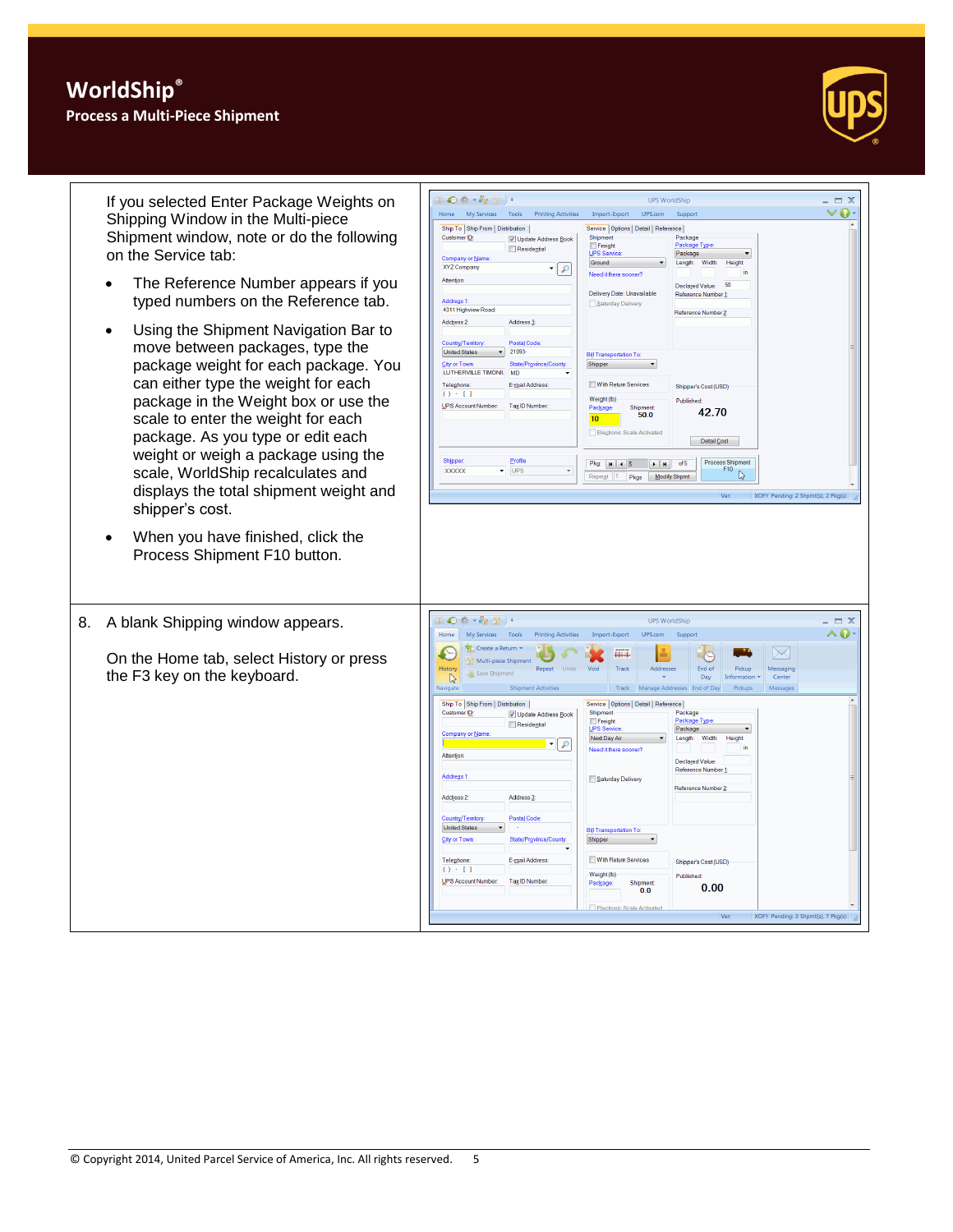